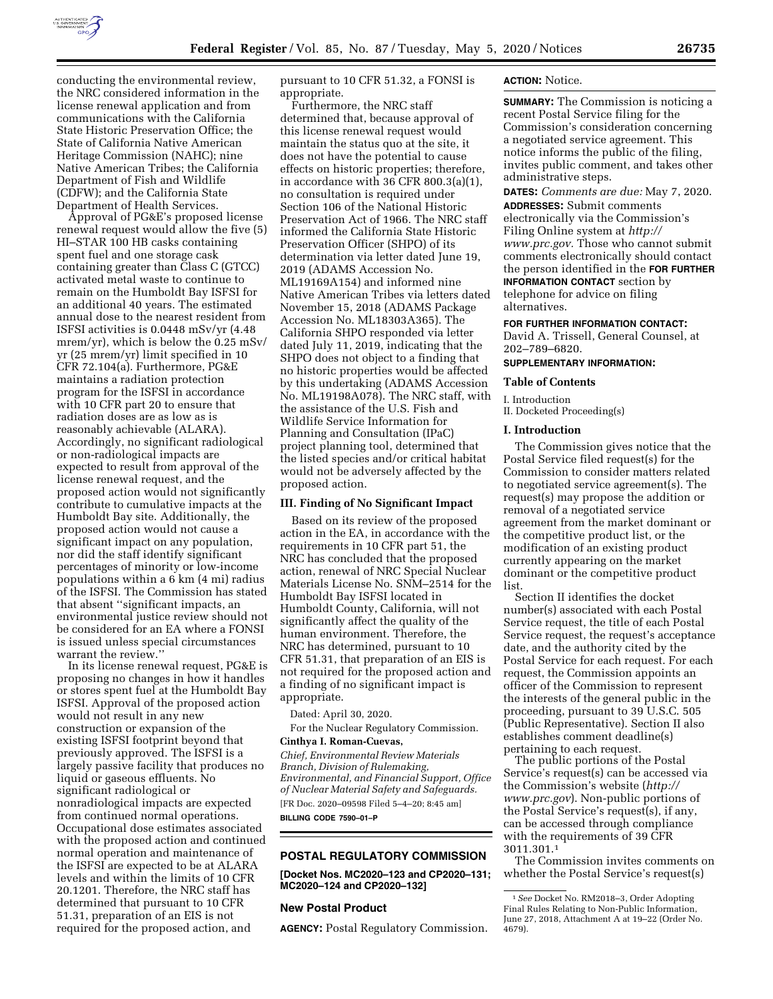

conducting the environmental review, the NRC considered information in the license renewal application and from communications with the California State Historic Preservation Office; the State of California Native American Heritage Commission (NAHC); nine Native American Tribes; the California Department of Fish and Wildlife (CDFW); and the California State Department of Health Services.

Approval of PG&E's proposed license renewal request would allow the five (5) HI–STAR 100 HB casks containing spent fuel and one storage cask containing greater than Class C (GTCC) activated metal waste to continue to remain on the Humboldt Bay ISFSI for an additional 40 years. The estimated annual dose to the nearest resident from ISFSI activities is 0.0448 mSv/yr (4.48 mrem/yr), which is below the 0.25 mSv/ yr (25 mrem/yr) limit specified in 10 CFR 72.104(a). Furthermore, PG&E maintains a radiation protection program for the ISFSI in accordance with 10 CFR part 20 to ensure that radiation doses are as low as is reasonably achievable (ALARA). Accordingly, no significant radiological or non-radiological impacts are expected to result from approval of the license renewal request, and the proposed action would not significantly contribute to cumulative impacts at the Humboldt Bay site. Additionally, the proposed action would not cause a significant impact on any population, nor did the staff identify significant percentages of minority or low-income populations within a 6 km (4 mi) radius of the ISFSI. The Commission has stated that absent ''significant impacts, an environmental justice review should not be considered for an EA where a FONSI is issued unless special circumstances warrant the review.''

In its license renewal request, PG&E is proposing no changes in how it handles or stores spent fuel at the Humboldt Bay ISFSI. Approval of the proposed action would not result in any new construction or expansion of the existing ISFSI footprint beyond that previously approved. The ISFSI is a largely passive facility that produces no liquid or gaseous effluents. No significant radiological or nonradiological impacts are expected from continued normal operations. Occupational dose estimates associated with the proposed action and continued normal operation and maintenance of the ISFSI are expected to be at ALARA levels and within the limits of 10 CFR 20.1201. Therefore, the NRC staff has determined that pursuant to 10 CFR 51.31, preparation of an EIS is not required for the proposed action, and

pursuant to 10 CFR 51.32, a FONSI is appropriate.

Furthermore, the NRC staff determined that, because approval of this license renewal request would maintain the status quo at the site, it does not have the potential to cause effects on historic properties; therefore, in accordance with 36 CFR 800.3(a)(1), no consultation is required under Section 106 of the National Historic Preservation Act of 1966. The NRC staff informed the California State Historic Preservation Officer (SHPO) of its determination via letter dated June 19, 2019 (ADAMS Accession No. ML19169A154) and informed nine Native American Tribes via letters dated November 15, 2018 (ADAMS Package Accession No. ML18303A365). The California SHPO responded via letter dated July 11, 2019, indicating that the SHPO does not object to a finding that no historic properties would be affected by this undertaking (ADAMS Accession No. ML19198A078). The NRC staff, with the assistance of the U.S. Fish and Wildlife Service Information for Planning and Consultation (IPaC) project planning tool, determined that the listed species and/or critical habitat would not be adversely affected by the proposed action.

#### **III. Finding of No Significant Impact**

Based on its review of the proposed action in the EA, in accordance with the requirements in 10 CFR part 51, the NRC has concluded that the proposed action, renewal of NRC Special Nuclear Materials License No. SNM–2514 for the Humboldt Bay ISFSI located in Humboldt County, California, will not significantly affect the quality of the human environment. Therefore, the NRC has determined, pursuant to 10 CFR 51.31, that preparation of an EIS is not required for the proposed action and a finding of no significant impact is appropriate.

Dated: April 30, 2020. For the Nuclear Regulatory Commission.

**Cinthya I. Roman-Cuevas,**  *Chief, Environmental Review Materials Branch, Division of Rulemaking, Environmental, and Financial Support, Office of Nuclear Material Safety and Safeguards.*  [FR Doc. 2020–09598 Filed 5–4–20; 8:45 am] **BILLING CODE 7590–01–P** 

#### **POSTAL REGULATORY COMMISSION**

**[Docket Nos. MC2020–123 and CP2020–131; MC2020–124 and CP2020–132]** 

#### **New Postal Product**

**AGENCY:** Postal Regulatory Commission.

#### **ACTION:** Notice.

**SUMMARY:** The Commission is noticing a recent Postal Service filing for the Commission's consideration concerning a negotiated service agreement. This notice informs the public of the filing, invites public comment, and takes other administrative steps.

**DATES:** *Comments are due:* May 7, 2020. **ADDRESSES:** Submit comments electronically via the Commission's Filing Online system at *[http://](http://www.prc.gov) [www.prc.gov.](http://www.prc.gov)* Those who cannot submit comments electronically should contact the person identified in the **FOR FURTHER INFORMATION CONTACT** section by telephone for advice on filing alternatives.

#### **FOR FURTHER INFORMATION CONTACT:**

David A. Trissell, General Counsel, at 202–789–6820.

#### **SUPPLEMENTARY INFORMATION:**

#### **Table of Contents**

I. Introduction II. Docketed Proceeding(s)

#### **I. Introduction**

The Commission gives notice that the Postal Service filed request(s) for the Commission to consider matters related to negotiated service agreement(s). The request(s) may propose the addition or removal of a negotiated service agreement from the market dominant or the competitive product list, or the modification of an existing product currently appearing on the market dominant or the competitive product list.

Section II identifies the docket number(s) associated with each Postal Service request, the title of each Postal Service request, the request's acceptance date, and the authority cited by the Postal Service for each request. For each request, the Commission appoints an officer of the Commission to represent the interests of the general public in the proceeding, pursuant to 39 U.S.C. 505 (Public Representative). Section II also establishes comment deadline(s) pertaining to each request.

The public portions of the Postal Service's request(s) can be accessed via the Commission's website (*[http://](http://www.prc.gov) [www.prc.gov](http://www.prc.gov)*). Non-public portions of the Postal Service's request(s), if any, can be accessed through compliance with the requirements of 39 CFR 3011.301.1

The Commission invites comments on whether the Postal Service's request(s)

<sup>1</sup>*See* Docket No. RM2018–3, Order Adopting Final Rules Relating to Non-Public Information, June 27, 2018, Attachment A at 19–22 (Order No. 4679).